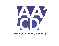

#### **CALENDAR OF EVENTS**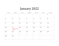## January 2022

| SUNDAY         | MONDAY                                    | TUESDAY        | WEDNESDAY | THURSDAY | FRIDAY         | SATURDAY     |
|----------------|-------------------------------------------|----------------|-----------|----------|----------------|--------------|
|                |                                           |                |           |          |                | $\mathbf{1}$ |
| $\overline{2}$ | 3                                         | $\overline{4}$ | 5         | 6        | $\overline{7}$ | 8            |
| 9              | 10                                        | 11             | 12        | 13       | 14             | 15           |
| 16             | 17<br>Dr. Martin L. King Jr.<br>-Birthday | 18             | 19        | 20       | 21             | 22           |
| 23             | 24                                        | 25             | 26        | 27       | 28             | 29           |
| 30             | 31                                        |                |           |          |                |              |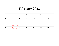# February 2022

| SUNDAY | MONDAY                                      | TUESDAY      | WEDNESDAY      | THURSDAY | FRIDAY         | SATURDAY |
|--------|---------------------------------------------|--------------|----------------|----------|----------------|----------|
|        |                                             | $\mathbf{1}$ | $\overline{2}$ | 3        | $\overline{4}$ | 5        |
| 6      | $\overline{7}$                              | 8            | 9              | 10       | 11             | 12       |
| 13     | 14<br><b>HAPPY</b><br><b>VALENTINES DAY</b> | 15           | 16             | 17       | 18             | 19       |
| 20     | 21<br><b>Presidents Day</b>                 | 22           | 23             | 24       | 25             | 26       |
| 27     | 28                                          |              |                |          |                |          |
|        |                                             |              |                |          |                |          |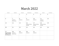### March 2022

| SUNDAY                                                                  | MONDAY                                           | TUESDAY               | WEDNESDAY                         | THURSDAY                          | FRIDAY                            | SATURDAY |
|-------------------------------------------------------------------------|--------------------------------------------------|-----------------------|-----------------------------------|-----------------------------------|-----------------------------------|----------|
|                                                                         |                                                  | $\mathbf{1}$          | $\overline{2}$                    | 3                                 | $\overline{4}$                    | 5        |
| 6                                                                       | $\overline{7}$<br><b>IAA0 101</b><br>Barry Couch | 8<br><b>IAA0 101</b>  | 9<br><b>IAAO 101</b>              | 10<br><b>IAA0 101</b>             | 11<br><b>IAAO 101</b><br>Exam Day | 12       |
| 13                                                                      | 14                                               | 15                    | 16<br>Assessors Spring<br>Meeting | 17<br>Assessors Spring<br>Meeting | 18<br>Assessors Spring<br>Meeting | 19       |
| 20                                                                      | 21                                               | 22                    | 23                                | 24                                | 25                                | 26       |
| 27<br><b>GIS/VALUATION</b><br><b>CONF. 27TH-30TH</b><br>New Orleans, LA | 28<br><b>IAAO 102</b><br><b>Barry Couch</b>      | 29<br><b>IAAO 102</b> | 30<br><b>IAAO 102</b>             | 31<br><b>IAAO 102</b>             |                                   |          |
|                                                                         |                                                  |                       |                                   |                                   |                                   |          |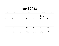# April 2022

| SUNDAY | MONDAY                        | TUESDAY        | WEDNESDAY      | THURSDAY       | FRIDAY                                      | SATURDAY       |
|--------|-------------------------------|----------------|----------------|----------------|---------------------------------------------|----------------|
|        |                               |                |                |                | $\mathbf{1}$<br><b>IAAO 102</b><br>Exam Day | $\overline{2}$ |
| 3      | $\overline{4}$                | 5              | 6              | $\overline{7}$ | 8                                           | 9              |
| 10     | 11                            | 12             | 13             | 14             | 15                                          | 16             |
| 17     | 18                            | 19             | 20             | 21             | 22                                          | 23             |
| 24     | 25<br>IAA0 201<br>Lisa Hobart | 26<br>IAA0 201 | 27<br>IAA0 201 | 28<br>IAA0 201 | 29<br><b>IAAO 201</b><br><b>EXAM DAY</b>    | 30             |
|        |                               |                |                |                |                                             |                |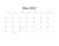# May 2022

| SUNDAY       | MONDAY                    | TUESDAY                              | WEDNESDAY      | THURSDAY | FRIDAY | SATURDAY |
|--------------|---------------------------|--------------------------------------|----------------|----------|--------|----------|
| $\mathbf{1}$ | $\overline{2}$            | 3                                    | $\overline{4}$ | 5        | 6      | 7        |
| 8            | 9                         | 10                                   | 11             | 12       | 13     | 14       |
| 15           | 16                        | 17                                   | 18             | 19       | 20     | 21       |
| 22           | 23                        | 24<br><b>Primary Election</b><br>Day | 25             | 26       | 27     | 28       |
| 29           | 30<br><b>Memorial Day</b> | 31                                   |                |          |        |          |
|              |                           |                                      |                |          |        |          |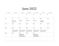# June 2022

| SUNDAY | MONDAY                                     | TUESDAY                                    | WEDNESDAY                                  | THURSDAY                                   | FRIDAY                                    | SATURDAY       |
|--------|--------------------------------------------|--------------------------------------------|--------------------------------------------|--------------------------------------------|-------------------------------------------|----------------|
|        |                                            |                                            | $\mathbf 1$                                | 2                                          | 3                                         | $\overline{4}$ |
| 5      | 6<br><b>IAAO 300</b><br>Barry Couch        | $\overline{7}$<br><b>IAAO 300</b>          | 8<br><b>IAAO 300</b>                       | 9<br><b>IAAO 300</b>                       | 10<br><b>IAAO 300</b><br><b>EXAM DAY</b>  | 11             |
| 12     | 13                                         | 14                                         | 15                                         | 16                                         | 17                                        | 18             |
| 19     | 20<br>Assessors Summer<br>Meeting-Mt. View | 21<br>Assessors Summer<br>Meeting-Mt. View | 22<br>Assessors Summer<br>Meeting-Mt. View | 23<br>Assessors Summer<br>Meeting-Mt. View | 24<br>Assessors Summer<br>Meeting-Mt View | 25             |
| 26     | 27                                         | 28<br>EQ BOARD<br><b>BATESVILLE</b>        | 29                                         | 30<br>EQ BOARD<br>PINE BLUFF               |                                           |                |
|        |                                            |                                            |                                            |                                            |                                           |                |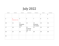# July 2022

| SUNDAY | MONDAY                                    | TUESDAY                       | WEDNESDAY                             | THURSDAY                    | FRIDAY       | SATURDAY |
|--------|-------------------------------------------|-------------------------------|---------------------------------------|-----------------------------|--------------|----------|
|        |                                           |                               |                                       |                             | $\mathbf{1}$ | 2        |
| 3      | $\overline{4}$<br><b>Independence Day</b> | 5                             | 6                                     | $\overline{7}$              | 8            | 9        |
| 10     | 11                                        | 12<br><b>EQ BOARD</b><br>HOPE | 13                                    | 14<br>EQ BOARD<br>ATU-OZARK | 15           | 16       |
| 17     | 18                                        | 19                            | 20<br><b>EQ BOARD</b><br>$AAC - L.R.$ | 21                          | 22           | 23       |
| 24     | 25                                        | 26                            | 27                                    | 28                          | 29           | 30       |
| 31     |                                           |                               |                                       |                             |              |          |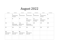# August 2022

| SUNDAY                               | MONDAY                                                | TUESDAY                                | WEDNESDAY                                       | THURSDAY                                   | FRIDAY                                     | SATURDAY |
|--------------------------------------|-------------------------------------------------------|----------------------------------------|-------------------------------------------------|--------------------------------------------|--------------------------------------------|----------|
|                                      | $\mathbf{1}$<br><b>AACD Real Estate</b><br>Dan Cypert | 2<br><b>AACD Real Estate</b>           | 3<br><b>AACD Real Estate</b>                    | $\overline{4}$<br><b>AACD Real Estate</b>  | 5<br><b>AACD Real Estate</b><br>Exam Day   | 6        |
| 7                                    | 8                                                     | 9                                      | 10<br><b>AAC</b> Conference<br>Hot Springs      | 11<br><b>AAC</b> Conference<br>Hot Springs | 12<br><b>AAC</b> Conference<br>Hot Springs | 13       |
| 14                                   | 15<br><b>AACD Personal</b><br>Property-Bill Long      | 16<br><b>AACD Personal</b><br>Property | 17<br><b>AACD</b> Personal<br>Property-Exam Day | 18                                         | 19                                         | 20       |
| 21                                   | 22                                                    | 23                                     | 24                                              | 25                                         | 26                                         | 27       |
| 28                                   | 29                                                    | 30                                     | 31                                              |                                            |                                            |          |
| <b>IAAO</b> Conference<br>Boston, MA | <b>IAAO</b> Conference<br>Boston, MA                  | <b>IAAO</b> Conference<br>Boston, MA   | <b>IAAO</b> Conference<br>Boston, MA            |                                            |                                            |          |
|                                      |                                                       |                                        |                                                 |                                            |                                            |          |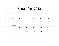### September 2022

| SUNDAY         | MONDAY                               | TUESDAY               | WEDNESDAY             | THURSDAY              | FRIDAY                            | SATURDAY |
|----------------|--------------------------------------|-----------------------|-----------------------|-----------------------|-----------------------------------|----------|
|                |                                      |                       |                       | $\mathbf{1}$          | $\overline{2}$                    | 3        |
| $\overline{4}$ | 5<br>Labor Day                       | 6                     | $\overline{7}$        | 8                     | 9                                 | 10       |
| 11             | 12<br><b>IAAO 500</b><br>Lisa Hobart | 13<br><b>IAAO 500</b> | 14<br><b>IAAO 500</b> | 15<br><b>IAAO 500</b> | 16<br><b>IAAO 500</b><br>Exam Day | 17       |
| 18             | 19                                   | 20                    | 21                    | 22                    | 23                                | 24       |
| 25             | 26                                   | 27                    | 28                    | 29                    | 30                                |          |
|                |                                      |                       |                       |                       |                                   |          |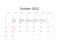#### October 2022

| SUNDAY         | MONDAY                                                   | TUESDAY                                                                    | WEDNESDAY         | THURSDAY                                                                       | FRIDAY                         | SATURDAY     |
|----------------|----------------------------------------------------------|----------------------------------------------------------------------------|-------------------|--------------------------------------------------------------------------------|--------------------------------|--------------|
|                |                                                          |                                                                            |                   |                                                                                |                                | $\mathbf{1}$ |
| $\overline{2}$ | $\overline{3}$<br>ROLLBACK<br>ASSISTANCE<br>3rd thru 6th | $\overline{4}$<br>WORKSHOP 191<br>7 HR. USPAP UPDATE<br><b>Barry Couch</b> | 5<br>WORKSHOP 151 | 6<br>WORKSHOP 151<br>USPAP-Barry Couch   USPAP-Barry Couch   USPAP-Barry Couch | $\overline{7}$<br>WORKSHOP 151 | 8            |
| 9              | 10                                                       | 11                                                                         | 12                | 13                                                                             | 14                             | 15           |
| 16             | 17<br><b>Tax Deadline</b>                                | 18                                                                         | 19                | 20                                                                             | 21                             | 22           |
| 23             | 24                                                       | 25                                                                         | 26                | 27                                                                             | 28                             | 29           |
| 30             | 31                                                       |                                                                            |                   |                                                                                |                                |              |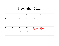### November 2022

| SUNDAY | MONDAY                                      | TUESDAY                                           | WEDNESDAY                                         | THURSDAY                                          | FRIDAY                                            | SATURDAY |
|--------|---------------------------------------------|---------------------------------------------------|---------------------------------------------------|---------------------------------------------------|---------------------------------------------------|----------|
|        |                                             | $\mathbf{1}$                                      | $\overline{2}$                                    | 3                                                 | $\overline{4}$                                    | 5        |
| 6      | 7                                           | 8<br><b>ELECTION DAY</b>                          | 9                                                 | 10                                                | 11<br>Veterans' Day                               | 12       |
| 13     | 14<br>AACD Fall<br>Conference<br>Jonesboro  | 15<br><b>AACD</b> Fall<br>Conference<br>Jonesboro | 16<br><b>AACD Fall</b><br>Conference<br>Jonesboro | 17<br><b>AACD Fall</b><br>Conference<br>Jonesboro | 18<br><b>AACD Fall</b><br>Conference<br>Jonesboro | 19       |
| 20     | 21                                          | 22                                                | 23                                                | 24<br>Thanksgiving<br>Day                         | 25<br><b>State Offices</b><br>Closed              | 26       |
| 27     | 28<br><b>AACD Real Estate</b><br>Dan Cypert | 29<br><b>AACD Real Estate</b>                     | 30<br><b>AACD Real Estate</b>                     |                                                   |                                                   |          |